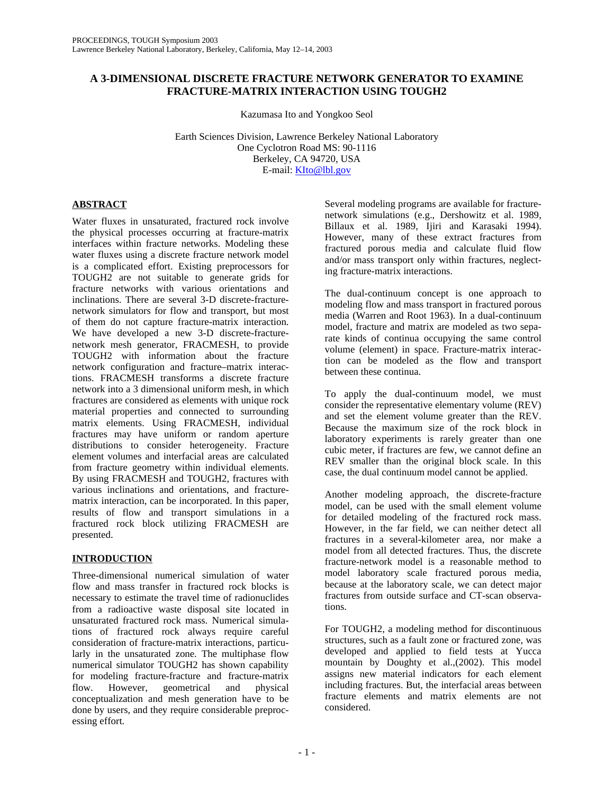# **A 3-DIMENSIONAL DISCRETE FRACTURE NETWORK GENERATOR TO EXAMINE FRACTURE-MATRIX INTERACTION USING TOUGH2**

Kazumasa Ito and Yongkoo Seol

Earth Sciences Division, Lawrence Berkeley National Laboratory One Cyclotron Road MS: 90-1116 Berkeley, CA 94720, USA E-mail: KIto@lbl.gov

# **ABSTRACT**

Water fluxes in unsaturated, fractured rock involve the physical processes occurring at fracture-matrix interfaces within fracture networks. Modeling these water fluxes using a discrete fracture network model is a complicated effort. Existing preprocessors for TOUGH2 are not suitable to generate grids for fracture networks with various orientations and inclinations. There are several 3-D discrete-fracturenetwork simulators for flow and transport, but most of them do not capture fracture-matrix interaction. We have developed a new 3-D discrete-fracturenetwork mesh generator, FRACMESH, to provide TOUGH2 with information about the fracture network configuration and fracture–matrix interactions. FRACMESH transforms a discrete fracture network into a 3 dimensional uniform mesh, in which fractures are considered as elements with unique rock material properties and connected to surrounding matrix elements. Using FRACMESH, individual fractures may have uniform or random aperture distributions to consider heterogeneity. Fracture element volumes and interfacial areas are calculated from fracture geometry within individual elements. By using FRACMESH and TOUGH2, fractures with various inclinations and orientations, and fracturematrix interaction, can be incorporated. In this paper, results of flow and transport simulations in a fractured rock block utilizing FRACMESH are presented.

# **INTRODUCTION**

Three-dimensional numerical simulation of water flow and mass transfer in fractured rock blocks is necessary to estimate the travel time of radionuclides from a radioactive waste disposal site located in unsaturated fractured rock mass. Numerical simulations of fractured rock always require careful consideration of fracture-matrix interactions, particularly in the unsaturated zone. The multiphase flow numerical simulator TOUGH2 has shown capability for modeling fracture-fracture and fracture-matrix flow. However, geometrical and physical conceptualization and mesh generation have to be done by users, and they require considerable preprocessing effort.

Several modeling programs are available for fracturenetwork simulations (e.g., Dershowitz et al. 1989, Billaux et al. 1989, Ijiri and Karasaki 1994). However, many of these extract fractures from fractured porous media and calculate fluid flow and/or mass transport only within fractures, neglecting fracture-matrix interactions.

The dual-continuum concept is one approach to modeling flow and mass transport in fractured porous media (Warren and Root 1963). In a dual-continuum model, fracture and matrix are modeled as two separate kinds of continua occupying the same control volume (element) in space. Fracture-matrix interaction can be modeled as the flow and transport between these continua.

To apply the dual-continuum model, we must consider the representative elementary volume (REV) and set the element volume greater than the REV. Because the maximum size of the rock block in laboratory experiments is rarely greater than one cubic meter, if fractures are few, we cannot define an REV smaller than the original block scale. In this case, the dual continuum model cannot be applied.

Another modeling approach, the discrete-fracture model, can be used with the small element volume for detailed modeling of the fractured rock mass. However, in the far field, we can neither detect all fractures in a several-kilometer area, nor make a model from all detected fractures. Thus, the discrete fracture-network model is a reasonable method to model laboratory scale fractured porous media, because at the laboratory scale, we can detect major fractures from outside surface and CT-scan observations.

For TOUGH2, a modeling method for discontinuous structures, such as a fault zone or fractured zone, was developed and applied to field tests at Yucca mountain by Doughty et al.,(2002). This model assigns new material indicators for each element including fractures. But, the interfacial areas between fracture elements and matrix elements are not considered.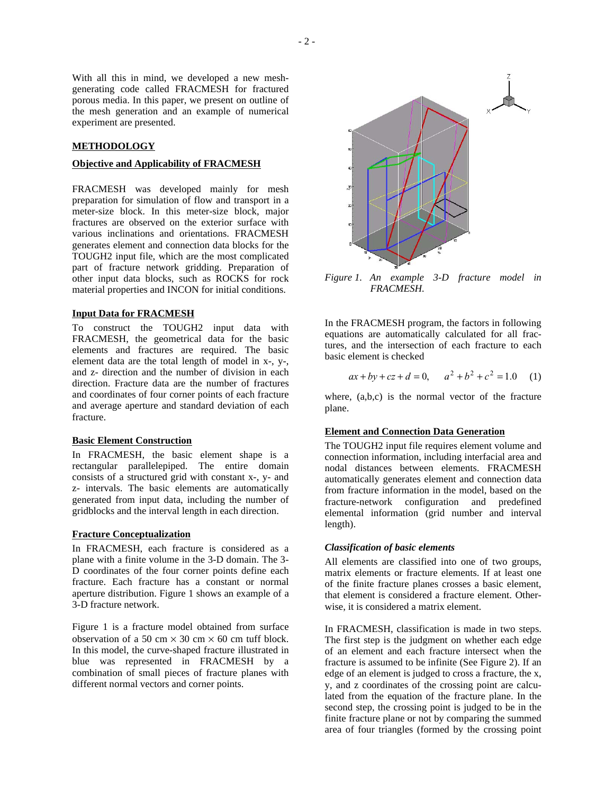With all this in mind, we developed a new meshgenerating code called FRACMESH for fractured porous media. In this paper, we present on outline of the mesh generation and an example of numerical experiment are presented.

## **METHODOLOGY**

#### **Objective and Applicability of FRACMESH**

FRACMESH was developed mainly for mesh preparation for simulation of flow and transport in a meter-size block. In this meter-size block, major fractures are observed on the exterior surface with various inclinations and orientations. FRACMESH generates element and connection data blocks for the TOUGH2 input file, which are the most complicated part of fracture network gridding. Preparation of other input data blocks, such as ROCKS for rock material properties and INCON for initial conditions.

# **Input Data for FRACMESH**

To construct the TOUGH2 input data with FRACMESH, the geometrical data for the basic elements and fractures are required. The basic element data are the total length of model in x-, y-, and z- direction and the number of division in each direction. Fracture data are the number of fractures and coordinates of four corner points of each fracture and average aperture and standard deviation of each fracture.

#### **Basic Element Construction**

In FRACMESH, the basic element shape is a rectangular parallelepiped. The entire domain consists of a structured grid with constant x-, y- and z- intervals. The basic elements are automatically generated from input data, including the number of gridblocks and the interval length in each direction.

#### **Fracture Conceptualization**

In FRACMESH, each fracture is considered as a plane with a finite volume in the 3-D domain. The 3- D coordinates of the four corner points define each fracture. Each fracture has a constant or normal aperture distribution. Figure 1 shows an example of a 3-D fracture network.

Figure 1 is a fracture model obtained from surface observation of a 50 cm  $\times$  30 cm  $\times$  60 cm tuff block. In this model, the curve-shaped fracture illustrated in blue was represented in FRACMESH by a combination of small pieces of fracture planes with different normal vectors and corner points.



*Figure 1. An example 3-D fracture model in FRACMESH.* 

In the FRACMESH program, the factors in following equations are automatically calculated for all fractures, and the intersection of each fracture to each basic element is checked

$$
ax + by + cz + d = 0
$$
,  $a^2 + b^2 + c^2 = 1.0$  (1)

where, (a,b,c) is the normal vector of the fracture plane.

#### **Element and Connection Data Generation**

The TOUGH2 input file requires element volume and connection information, including interfacial area and nodal distances between elements. FRACMESH automatically generates element and connection data from fracture information in the model, based on the fracture-network configuration and predefined elemental information (grid number and interval length).

#### *Classification of basic elements*

All elements are classified into one of two groups, matrix elements or fracture elements. If at least one of the finite fracture planes crosses a basic element, that element is considered a fracture element. Otherwise, it is considered a matrix element.

In FRACMESH, classification is made in two steps. The first step is the judgment on whether each edge of an element and each fracture intersect when the fracture is assumed to be infinite (See Figure 2). If an edge of an element is judged to cross a fracture, the x, y, and z coordinates of the crossing point are calculated from the equation of the fracture plane. In the second step, the crossing point is judged to be in the finite fracture plane or not by comparing the summed area of four triangles (formed by the crossing point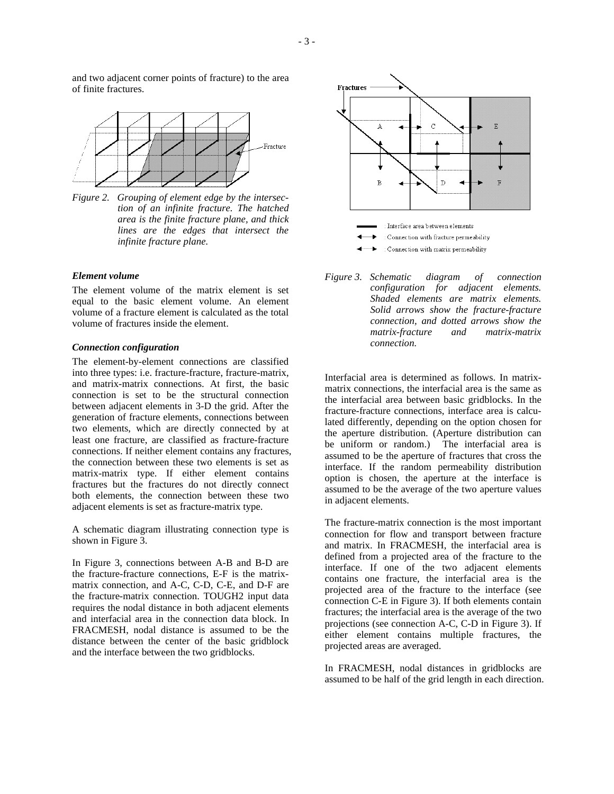



*Figure 2. Grouping of element edge by the intersection of an infinite fracture. The hatched area is the finite fracture plane, and thick lines are the edges that intersect the infinite fracture plane.* 

## *Element volume*

The element volume of the matrix element is set equal to the basic element volume. An element volume of a fracture element is calculated as the total volume of fractures inside the element.

# *Connection configuration*

The element-by-element connections are classified into three types: i.e. fracture-fracture, fracture-matrix, and matrix-matrix connections. At first, the basic connection is set to be the structural connection between adjacent elements in 3-D the grid. After the generation of fracture elements, connections between two elements, which are directly connected by at least one fracture, are classified as fracture-fracture connections. If neither element contains any fractures, the connection between these two elements is set as matrix-matrix type. If either element contains fractures but the fractures do not directly connect both elements, the connection between these two adjacent elements is set as fracture-matrix type.

A schematic diagram illustrating connection type is shown in Figure 3.

In Figure 3, connections between A-B and B-D are the fracture-fracture connections, E-F is the matrixmatrix connection, and A-C, C-D, C-E, and D-F are the fracture-matrix connection. TOUGH2 input data requires the nodal distance in both adjacent elements and interfacial area in the connection data block. In FRACMESH, nodal distance is assumed to be the distance between the center of the basic gridblock and the interface between the two gridblocks.



*Figure 3. Schematic diagram of connection configuration for adjacent elements. Shaded elements are matrix elements. Solid arrows show the fracture-fracture connection, and dotted arrows show the matrix-fracture and matrix-matrix connection.* 

Interfacial area is determined as follows. In matrixmatrix connections, the interfacial area is the same as the interfacial area between basic gridblocks. In the fracture-fracture connections, interface area is calculated differently, depending on the option chosen for the aperture distribution. (Aperture distribution can be uniform or random.) The interfacial area is assumed to be the aperture of fractures that cross the interface. If the random permeability distribution option is chosen, the aperture at the interface is assumed to be the average of the two aperture values in adjacent elements.

The fracture-matrix connection is the most important connection for flow and transport between fracture and matrix. In FRACMESH, the interfacial area is defined from a projected area of the fracture to the interface. If one of the two adjacent elements contains one fracture, the interfacial area is the projected area of the fracture to the interface (see connection C-E in Figure 3). If both elements contain fractures; the interfacial area is the average of the two projections (see connection A-C, C-D in Figure 3). If either element contains multiple fractures, the projected areas are averaged.

In FRACMESH, nodal distances in gridblocks are assumed to be half of the grid length in each direction.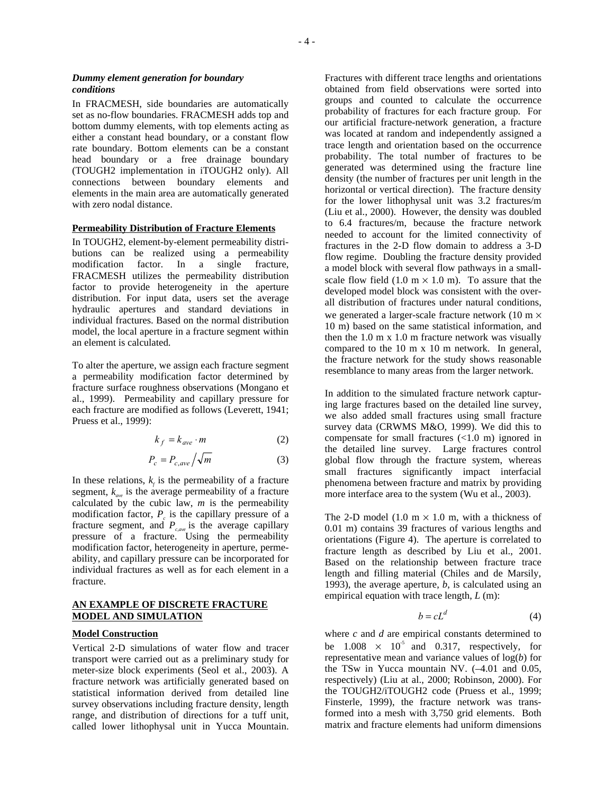### *Dummy element generation for boundary conditions*

In FRACMESH, side boundaries are automatically set as no-flow boundaries. FRACMESH adds top and bottom dummy elements, with top elements acting as either a constant head boundary, or a constant flow rate boundary. Bottom elements can be a constant head boundary or a free drainage boundary (TOUGH2 implementation in iTOUGH2 only). All connections between boundary elements and elements in the main area are automatically generated with zero nodal distance.

## **Permeability Distribution of Fracture Elements**

In TOUGH2, element-by-element permeability distributions can be realized using a permeability modification factor. In a single fracture, FRACMESH utilizes the permeability distribution factor to provide heterogeneity in the aperture distribution. For input data, users set the average hydraulic apertures and standard deviations in individual fractures. Based on the normal distribution model, the local aperture in a fracture segment within an element is calculated.

To alter the aperture, we assign each fracture segment a permeability modification factor determined by fracture surface roughness observations (Mongano et al., 1999). Permeability and capillary pressure for each fracture are modified as follows (Leverett, 1941; Pruess et al., 1999):

$$
k_f = k_{ave} \cdot m \tag{2}
$$

$$
P_c = P_{c,ave} / \sqrt{m} \tag{3}
$$

In these relations,  $k_f$  is the permeability of a fracture segment,  $k_{\text{max}}$  is the average permeability of a fracture calculated by the cubic law,  $m$  is the permeability modification factor,  $P_c$  is the capillary pressure of a fracture segment, and  $P_{cave}$  is the average capillary pressure of a fracture. Using the permeability modification factor, heterogeneity in aperture, permeability, and capillary pressure can be incorporated for individual fractures as well as for each element in a fracture.

### **AN EXAMPLE OF DISCRETE FRACTURE MODEL AND SIMULATION**

# **Model Construction**

Vertical 2-D simulations of water flow and tracer transport were carried out as a preliminary study for meter-size block experiments (Seol et al., 2003). A fracture network was artificially generated based on statistical information derived from detailed line survey observations including fracture density, length range, and distribution of directions for a tuff unit, called lower lithophysal unit in Yucca Mountain. Fractures with different trace lengths and orientations obtained from field observations were sorted into groups and counted to calculate the occurrence probability of fractures for each fracture group. For our artificial fracture-network generation, a fracture was located at random and independently assigned a trace length and orientation based on the occurrence probability. The total number of fractures to be generated was determined using the fracture line density (the number of fractures per unit length in the horizontal or vertical direction). The fracture density for the lower lithophysal unit was 3.2 fractures/m (Liu et al., 2000). However, the density was doubled to 6.4 fractures/m, because the fracture network needed to account for the limited connectivity of fractures in the 2-D flow domain to address a 3-D flow regime. Doubling the fracture density provided a model block with several flow pathways in a smallscale flow field  $(1.0 \text{ m} \times 1.0 \text{ m})$ . To assure that the developed model block was consistent with the overall distribution of fractures under natural conditions, we generated a larger-scale fracture network (10 m  $\times$ 10 m) based on the same statistical information, and then the 1.0 m x 1.0 m fracture network was visually compared to the 10 m x 10 m network. In general, the fracture network for the study shows reasonable resemblance to many areas from the larger network.

In addition to the simulated fracture network capturing large fractures based on the detailed line survey, we also added small fractures using small fracture survey data (CRWMS M&O, 1999). We did this to compensate for small fractures (<1.0 m) ignored in the detailed line survey. Large fractures control global flow through the fracture system, whereas small fractures significantly impact interfacial phenomena between fracture and matrix by providing more interface area to the system (Wu et al., 2003).

The 2-D model (1.0 m  $\times$  1.0 m, with a thickness of 0.01 m) contains 39 fractures of various lengths and orientations (Figure 4). The aperture is correlated to fracture length as described by Liu et al., 2001. Based on the relationship between fracture trace length and filling material (Chiles and de Marsily, 1993), the average aperture, *b*, is calculated using an empirical equation with trace length, *L* (m):

$$
b = cL^d \tag{4}
$$

where *c* and *d* are empirical constants determined to be  $1.008 \times 10^{-5}$  and 0.317, respectively, for representative mean and variance values of log(*b*) for the TSw in Yucca mountain NV. (–4.01 and 0.05, respectively) (Liu at al., 2000; Robinson, 2000). For the TOUGH2/iTOUGH2 code (Pruess et al., 1999; Finsterle, 1999), the fracture network was transformed into a mesh with 3,750 grid elements. Both matrix and fracture elements had uniform dimensions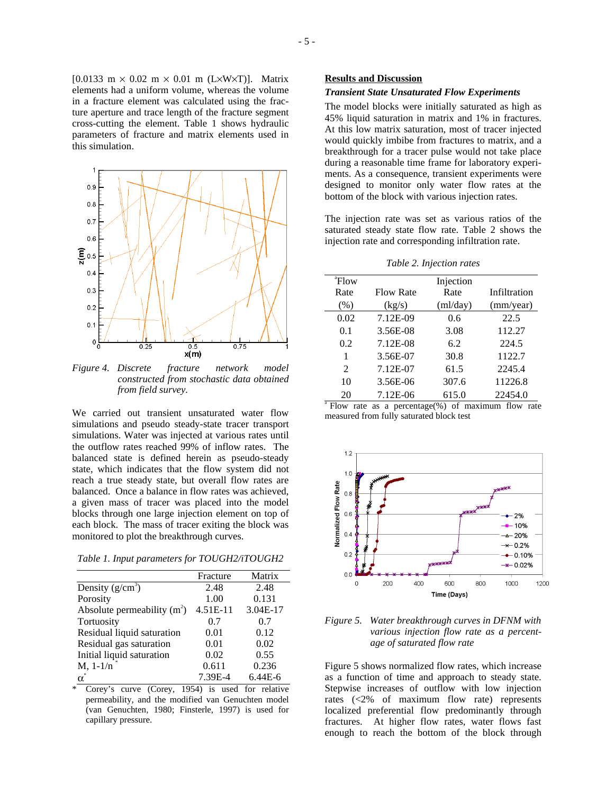[0.0133 m  $\times$  0.02 m  $\times$  0.01 m (L $\times$ W $\times$ T)]. Matrix elements had a uniform volume, whereas the volume in a fracture element was calculated using the fracture aperture and trace length of the fracture segment cross-cutting the element. Table 1 shows hydraulic parameters of fracture and matrix elements used in this simulation.



*Figure 4. Discrete fracture network model constructed from stochastic data obtained from field survey.* 

We carried out transient unsaturated water flow simulations and pseudo steady-state tracer transport simulations. Water was injected at various rates until the outflow rates reached 99% of inflow rates. The balanced state is defined herein as pseudo-steady state, which indicates that the flow system did not reach a true steady state, but overall flow rates are balanced. Once a balance in flow rates was achieved, a given mass of tracer was placed into the model blocks through one large injection element on top of each block. The mass of tracer exiting the block was monitored to plot the breakthrough curves.

| Table 1. Input parameters for TOUGH2/iTOUGH2 |  |  |
|----------------------------------------------|--|--|
|                                              |  |  |

|                               | Fracture | Matrix    |
|-------------------------------|----------|-----------|
| Density $(g/cm^3)$            | 2.48     | 2.48      |
| Porosity                      | 1.00     | 0.131     |
| Absolute permeability $(m^2)$ | 4.51E-11 | 3.04E-17  |
| Tortuosity                    | 0.7      | 0.7       |
| Residual liquid saturation    | 0.01     | 0.12      |
| Residual gas saturation       | 0.01     | 0.02      |
| Initial liquid saturation     | 0.02     | 0.55      |
| $M, 1-1/n$                    | 0.611    | 0.236     |
| $\alpha^*$                    | 7.39E-4  | $6.44E-6$ |

Corey's curve (Corey, 1954) is used for relative permeability, and the modified van Genuchten model (van Genuchten, 1980; Finsterle, 1997) is used for capillary pressure.

#### **Results and Discussion**

#### *Transient State Unsaturated Flow Experiments*

The model blocks were initially saturated as high as 45% liquid saturation in matrix and 1% in fractures. At this low matrix saturation, most of tracer injected would quickly imbibe from fractures to matrix, and a breakthrough for a tracer pulse would not take place during a reasonable time frame for laboratory experiments. As a consequence, transient experiments were designed to monitor only water flow rates at the bottom of the block with various injection rates.

The injection rate was set as various ratios of the saturated steady state flow rate. Table 2 shows the injection rate and corresponding infiltration rate.

| Table 2. Injection rates |  |  |  |  |  |
|--------------------------|--|--|--|--|--|
|--------------------------|--|--|--|--|--|

| <sup>a</sup> Flow |                  | Injection |              |
|-------------------|------------------|-----------|--------------|
| Rate              | <b>Flow Rate</b> | Rate      | Infiltration |
| (% )              | (kg/s)           | (ml/day)  | (mm/year)    |
| 0.02              | 7.12E-09         | 0.6       | 22.5         |
| 0.1               | 3.56E-08         | 3.08      | 112.27       |
| 0.2               | 7.12E-08         | 6.2       | 224.5        |
| 1                 | 3.56E-07         | 30.8      | 1122.7       |
| $\overline{2}$    | 7.12E-07         | 61.5      | 2245.4       |
| 10                | 3.56E-06         | 307.6     | 11226.8      |
| 20                | 7.12E-06         | 615.0     | 22454.0      |

 $\sqrt[3]{2}$  Flow rate as a percentage(%) of maximum flow rate measured from fully saturated block test



*Figure 5. Water breakthrough curves in DFNM with various injection flow rate as a percentage of saturated flow rate* 

Figure 5 shows normalized flow rates, which increase as a function of time and approach to steady state. Stepwise increases of outflow with low injection rates (<2% of maximum flow rate) represents localized preferential flow predominantly through fractures. At higher flow rates, water flows fast enough to reach the bottom of the block through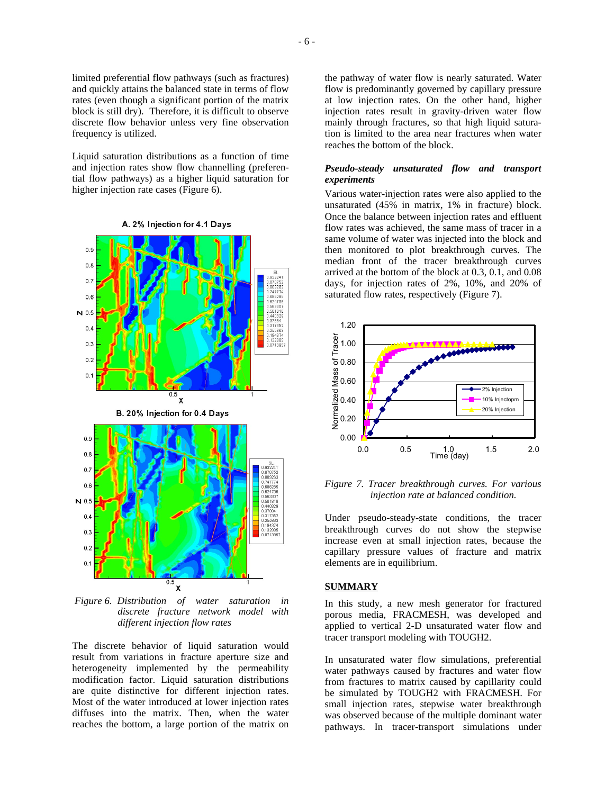limited preferential flow pathways (such as fractures) and quickly attains the balanced state in terms of flow rates (even though a significant portion of the matrix block is still dry). Therefore, it is difficult to observe discrete flow behavior unless very fine observation frequency is utilized.

Liquid saturation distributions as a function of time and injection rates show flow channelling (preferential flow pathways) as a higher liquid saturation for higher injection rate cases (Figure 6).



 *Figure 6. Distribution of water saturation in discrete fracture network model with different injection flow rates* 

The discrete behavior of liquid saturation would result from variations in fracture aperture size and heterogeneity implemented by the permeability modification factor. Liquid saturation distributions are quite distinctive for different injection rates. Most of the water introduced at lower injection rates diffuses into the matrix. Then, when the water reaches the bottom, a large portion of the matrix on the pathway of water flow is nearly saturated. Water flow is predominantly governed by capillary pressure at low injection rates. On the other hand, higher injection rates result in gravity-driven water flow mainly through fractures, so that high liquid saturation is limited to the area near fractures when water reaches the bottom of the block.

## *Pseudo-steady unsaturated flow and transport experiments*

Various water-injection rates were also applied to the unsaturated (45% in matrix, 1% in fracture) block. Once the balance between injection rates and effluent flow rates was achieved, the same mass of tracer in a same volume of water was injected into the block and then monitored to plot breakthrough curves. The median front of the tracer breakthrough curves arrived at the bottom of the block at 0.3, 0.1, and 0.08 days, for injection rates of 2%, 10%, and 20% of saturated flow rates, respectively (Figure 7).



*Figure 7. Tracer breakthrough curves. For various injection rate at balanced condition.* 

Under pseudo-steady-state conditions, the tracer breakthrough curves do not show the stepwise increase even at small injection rates, because the capillary pressure values of fracture and matrix elements are in equilibrium.

#### **SUMMARY**

In this study, a new mesh generator for fractured porous media, FRACMESH, was developed and applied to vertical 2-D unsaturated water flow and tracer transport modeling with TOUGH2.

In unsaturated water flow simulations, preferential water pathways caused by fractures and water flow from fractures to matrix caused by capillarity could be simulated by TOUGH2 with FRACMESH. For small injection rates, stepwise water breakthrough was observed because of the multiple dominant water pathways. In tracer-transport simulations under